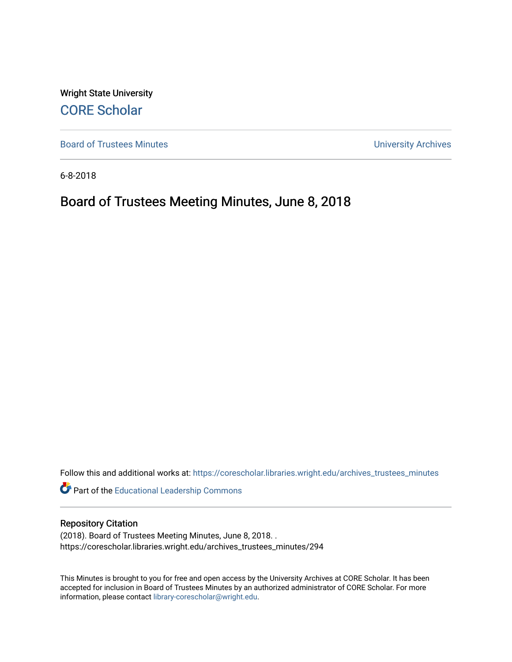Wright State University [CORE Scholar](https://corescholar.libraries.wright.edu/)

[Board of Trustees Minutes](https://corescholar.libraries.wright.edu/archives_trustees_minutes) **Exercise 2018** Solution 2018 10:30 Minutes University Archives

6-8-2018

# Board of Trustees Meeting Minutes, June 8, 2018

Follow this and additional works at: [https://corescholar.libraries.wright.edu/archives\\_trustees\\_minutes](https://corescholar.libraries.wright.edu/archives_trustees_minutes?utm_source=corescholar.libraries.wright.edu%2Farchives_trustees_minutes%2F294&utm_medium=PDF&utm_campaign=PDFCoverPages) 

Part of the [Educational Leadership Commons](https://network.bepress.com/hgg/discipline/1230?utm_source=corescholar.libraries.wright.edu%2Farchives_trustees_minutes%2F294&utm_medium=PDF&utm_campaign=PDFCoverPages) 

#### Repository Citation

(2018). Board of Trustees Meeting Minutes, June 8, 2018. . https://corescholar.libraries.wright.edu/archives\_trustees\_minutes/294

This Minutes is brought to you for free and open access by the University Archives at CORE Scholar. It has been accepted for inclusion in Board of Trustees Minutes by an authorized administrator of CORE Scholar. For more information, please contact [library-corescholar@wright.edu.](mailto:library-corescholar@wright.edu)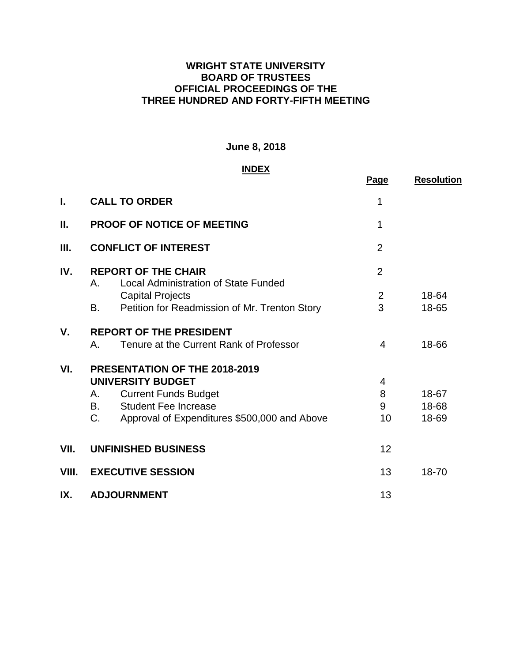## **WRIGHT STATE UNIVERSITY BOARD OF TRUSTEES OFFICIAL PROCEEDINGS OF THE THREE HUNDRED AND FORTY-FIFTH MEETING**

# **June 8, 2018**

#### **INDEX**

|             | <u>INDEX</u>                                                                    |                |                   |  |
|-------------|---------------------------------------------------------------------------------|----------------|-------------------|--|
|             |                                                                                 | Page           | <b>Resolution</b> |  |
| L           | <b>CALL TO ORDER</b>                                                            | 1              |                   |  |
| П.          | <b>PROOF OF NOTICE OF MEETING</b>                                               | 1              |                   |  |
| Ш.          | <b>CONFLICT OF INTEREST</b>                                                     | $\overline{2}$ |                   |  |
| IV.         | <b>REPORT OF THE CHAIR</b><br><b>Local Administration of State Funded</b><br>Α. | $\overline{2}$ |                   |  |
|             | <b>Capital Projects</b>                                                         | $\overline{2}$ | 18-64             |  |
|             | Petition for Readmission of Mr. Trenton Story<br>В.                             | 3              | 18-65             |  |
| $V_{\cdot}$ | <b>REPORT OF THE PRESIDENT</b>                                                  |                |                   |  |
|             | Tenure at the Current Rank of Professor<br>А.                                   | 4              | 18-66             |  |
| VI.         | PRESENTATION OF THE 2018-2019                                                   |                |                   |  |
|             | <b>UNIVERSITY BUDGET</b>                                                        | $\overline{4}$ |                   |  |
|             | <b>Current Funds Budget</b><br>А.                                               | 8              | 18-67             |  |
|             | <b>Student Fee Increase</b><br>В.                                               | 9              | 18-68             |  |
|             | C.<br>Approval of Expenditures \$500,000 and Above                              | 10             | 18-69             |  |
| VII.        | <b>UNFINISHED BUSINESS</b>                                                      | 12             |                   |  |
| VIII.       | <b>EXECUTIVE SESSION</b>                                                        | 13             | 18-70             |  |
| IX.         | <b>ADJOURNMENT</b>                                                              | 13             |                   |  |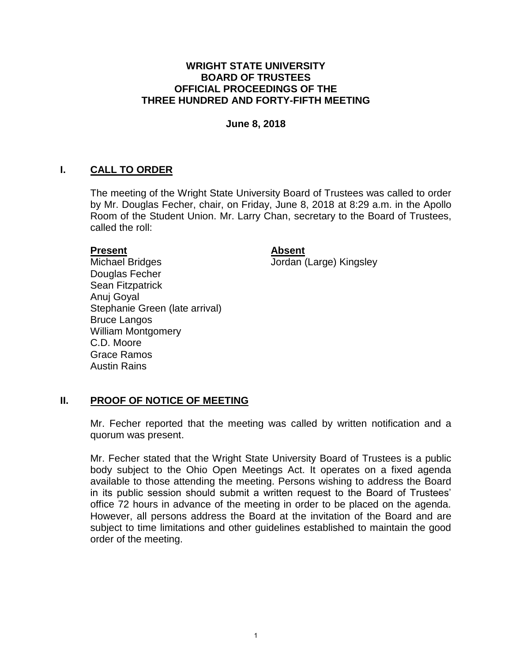#### **WRIGHT STATE UNIVERSITY BOARD OF TRUSTEES OFFICIAL PROCEEDINGS OF THE THREE HUNDRED AND FORTY-FIFTH MEETING**

#### **June 8, 2018**

# **I. CALL TO ORDER**

 The meeting of the Wright State University Board of Trustees was called to order by Mr. Douglas Fecher, chair, on Friday, June 8, 2018 at 8:29 a.m. in the Apollo Room of the Student Union. Mr. Larry Chan, secretary to the Board of Trustees, called the roll:

#### **Present**

#### **Absent**

Jordan (Large) Kingsley

Michael Bridges Douglas Fecher Sean Fitzpatrick Anuj Goyal Stephanie Green (late arrival) Bruce Langos William Montgomery C.D. Moore Grace Ramos Austin Rains

## **II. PROOF OF NOTICE OF MEETING**

 Mr. Fecher reported that the meeting was called by written notification and a quorum was present.

 Mr. Fecher stated that the Wright State University Board of Trustees is a public body subject to the Ohio Open Meetings Act. It operates on a fixed agenda available to those attending the meeting. Persons wishing to address the Board in its public session should submit a written request to the Board of Trustees' office 72 hours in advance of the meeting in order to be placed on the agenda. However, all persons address the Board at the invitation of the Board and are subject to time limitations and other guidelines established to maintain the good order of the meeting.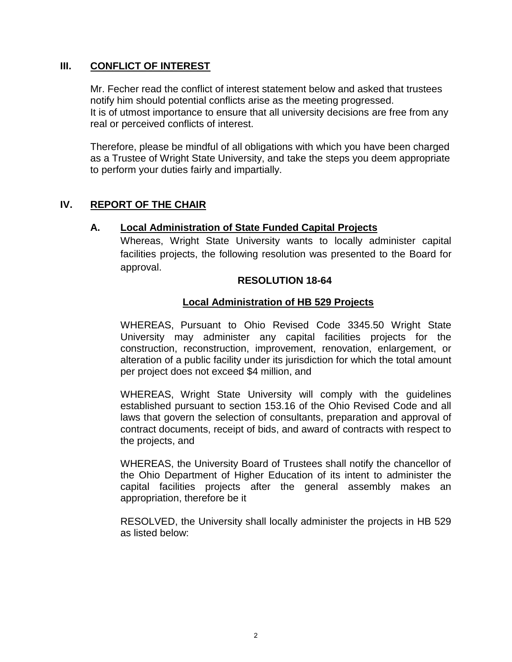#### **III. CONFLICT OF INTEREST**

Mr. Fecher read the conflict of interest statement below and asked that trustees notify him should potential conflicts arise as the meeting progressed. It is of utmost importance to ensure that all university decisions are free from any real or perceived conflicts of interest.

Therefore, please be mindful of all obligations with which you have been charged as a Trustee of Wright State University, and take the steps you deem appropriate to perform your duties fairly and impartially.

## **IV. REPORT OF THE CHAIR**

#### **A. Local Administration of State Funded Capital Projects**

Whereas, Wright State University wants to locally administer capital facilities projects, the following resolution was presented to the Board for approval.

#### **RESOLUTION 18-64**

#### **Local Administration of HB 529 Projects**

 per project does not exceed \$4 million, and WHEREAS, Pursuant to Ohio Revised Code 3345.50 Wright State University may administer any capital facilities projects for the construction, reconstruction, improvement, renovation, enlargement, or alteration of a public facility under its jurisdiction for which the total amount

 WHEREAS, Wright State University will comply with the guidelines established pursuant to section 153.16 of the Ohio Revised Code and all laws that govern the selection of consultants, preparation and approval of contract documents, receipt of bids, and award of contracts with respect to the projects, and

 WHEREAS, the University Board of Trustees shall notify the chancellor of the Ohio Department of Higher Education of its intent to administer the capital facilities projects after the general assembly makes an appropriation, therefore be it

 RESOLVED, the University shall locally administer the projects in HB 529 as listed below: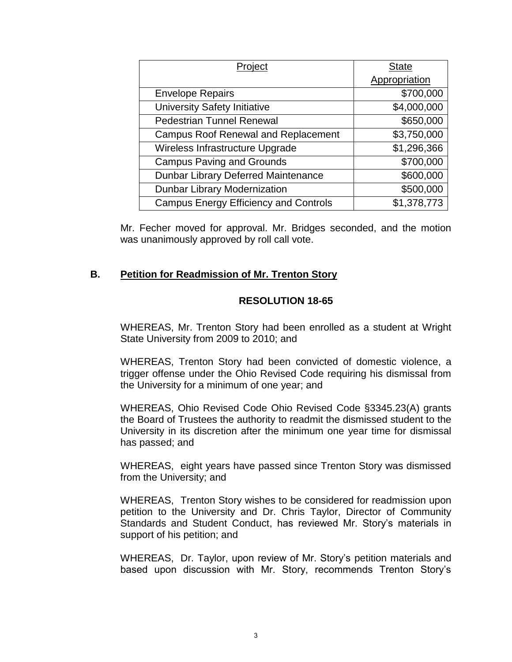| Project                                      | <b>State</b>  |  |
|----------------------------------------------|---------------|--|
|                                              | Appropriation |  |
| <b>Envelope Repairs</b>                      | \$700,000     |  |
| University Safety Initiative                 | \$4,000,000   |  |
| <b>Pedestrian Tunnel Renewal</b>             | \$650,000     |  |
| <b>Campus Roof Renewal and Replacement</b>   | \$3,750,000   |  |
| Wireless Infrastructure Upgrade              | \$1,296,366   |  |
| <b>Campus Paving and Grounds</b>             | \$700,000     |  |
| Dunbar Library Deferred Maintenance          | \$600,000     |  |
| <b>Dunbar Library Modernization</b>          | \$500,000     |  |
| <b>Campus Energy Efficiency and Controls</b> | \$1,378,773   |  |

Mr. Fecher moved for approval. Mr. Bridges seconded, and the motion was unanimously approved by roll call vote.

## **B. Petition for Readmission of Mr. Trenton Story**

## **RESOLUTION 18-65**

WHEREAS, Mr. Trenton Story had been enrolled as a student at Wright State University from 2009 to 2010; and

WHEREAS, Trenton Story had been convicted of domestic violence, a trigger offense under the Ohio Revised Code requiring his dismissal from the University for a minimum of one year; and

WHEREAS, Ohio Revised Code Ohio Revised Code §3345.23(A) grants the Board of Trustees the authority to readmit the dismissed student to the University in its discretion after the minimum one year time for dismissal has passed; and

WHEREAS, eight years have passed since Trenton Story was dismissed from the University; and

WHEREAS, Trenton Story wishes to be considered for readmission upon petition to the University and Dr. Chris Taylor, Director of Community Standards and Student Conduct, has reviewed Mr. Story's materials in support of his petition; and

 based upon discussion with Mr. Story, recommends Trenton Story's WHEREAS, Dr. Taylor, upon review of Mr. Story's petition materials and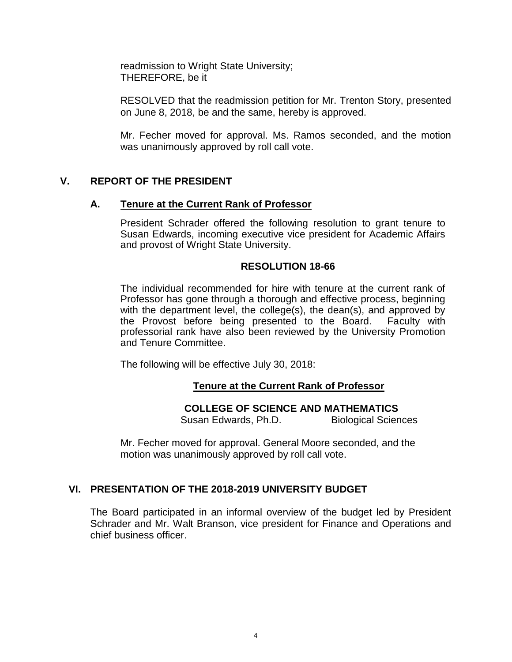readmission to Wright State University; THEREFORE, be it

RESOLVED that the readmission petition for Mr. Trenton Story, presented on June 8, 2018, be and the same, hereby is approved.

Mr. Fecher moved for approval. Ms. Ramos seconded, and the motion was unanimously approved by roll call vote.

# **V. REPORT OF THE PRESIDENT**

#### **A. Tenure at the Current Rank of Professor**

President Schrader offered the following resolution to grant tenure to Susan Edwards, incoming executive vice president for Academic Affairs and provost of Wright State University.

#### **RESOLUTION 18-66**

The individual recommended for hire with tenure at the current rank of Professor has gone through a thorough and effective process, beginning with the department level, the college(s), the dean(s), and approved by the Provost before being presented to the Board. Faculty with professorial rank have also been reviewed by the University Promotion and Tenure Committee.

The following will be effective July 30, 2018:

## **Tenure at the Current Rank of Professor**

## **COLLEGE OF SCIENCE AND MATHEMATICS**

Susan Edwards, Ph.D. **Biological Sciences** 

Mr. Fecher moved for approval. General Moore seconded, and the motion was unanimously approved by roll call vote.

## **VI. PRESENTATION OF THE 2018-2019 UNIVERSITY BUDGET**

The Board participated in an informal overview of the budget led by President Schrader and Mr. Walt Branson, vice president for Finance and Operations and chief business officer.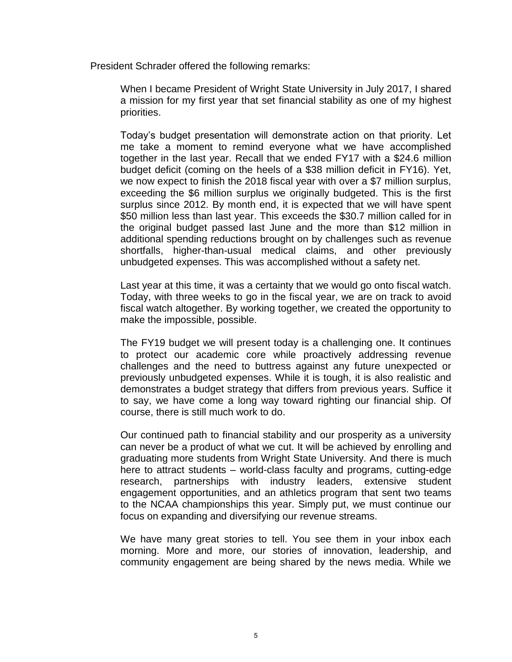President Schrader offered the following remarks:

 When I became President of Wright State University in July 2017, I shared a mission for my first year that set financial stability as one of my highest priorities.

 Today's budget presentation will demonstrate action on that priority. Let me take a moment to remind everyone what we have accomplished together in the last year. Recall that we ended FY17 with a \$24.6 million budget deficit (coming on the heels of a \$38 million deficit in FY16). Yet, we now expect to finish the 2018 fiscal year with over a \$7 million surplus, exceeding the \$6 million surplus we originally budgeted. This is the first surplus since 2012. By month end, it is expected that we will have spent \$50 million less than last year. This exceeds the \$30.7 million called for in the original budget passed last June and the more than \$12 million in additional spending reductions brought on by challenges such as revenue shortfalls, higher-than-usual medical claims, and other previously unbudgeted expenses. This was accomplished without a safety net.

 Today, with three weeks to go in the fiscal year, we are on track to avoid fiscal watch altogether. By working together, we created the opportunity to Last year at this time, it was a certainty that we would go onto fiscal watch. make the impossible, possible.

 The FY19 budget we will present today is a challenging one. It continues to protect our academic core while proactively addressing revenue challenges and the need to buttress against any future unexpected or previously unbudgeted expenses. While it is tough, it is also realistic and to say, we have come a long way toward righting our financial ship. Of demonstrates a budget strategy that differs from previous years. Suffice it course, there is still much work to do.

 Our continued path to financial stability and our prosperity as a university can never be a product of what we cut. It will be achieved by enrolling and graduating more students from Wright State University. And there is much here to attract students – world-class faculty and programs, cutting-edge research, partnerships with industry leaders, extensive student engagement opportunities, and an athletics program that sent two teams to the NCAA championships this year. Simply put, we must continue our focus on expanding and diversifying our revenue streams.

 We have many great stories to tell. You see them in your inbox each morning. More and more, our stories of innovation, leadership, and community engagement are being shared by the news media. While we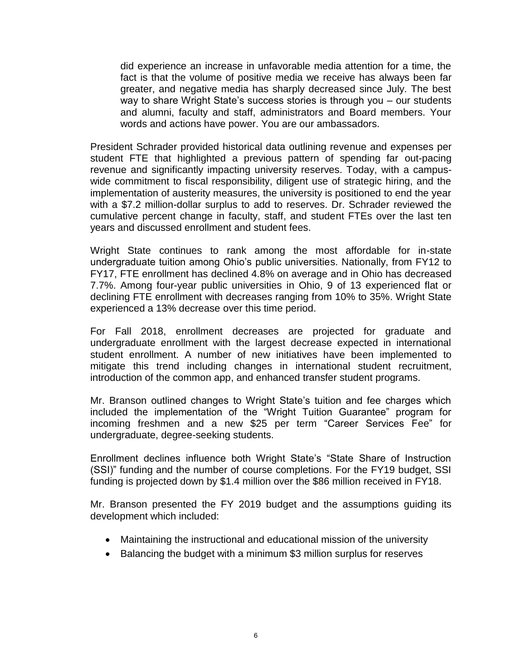did experience an increase in unfavorable media attention for a time, the fact is that the volume of positive media we receive has always been far greater, and negative media has sharply decreased since July. The best way to share Wright State's success stories is through you – our students and alumni, faculty and staff, administrators and Board members. Your words and actions have power. You are our ambassadors.

 President Schrader provided historical data outlining revenue and expenses per student FTE that highlighted a previous pattern of spending far out-pacing wide commitment to fiscal responsibility, diligent use of strategic hiring, and the implementation of austerity measures, the university is positioned to end the year with a \$7.2 million-dollar surplus to add to reserves. Dr. Schrader reviewed the cumulative percent change in faculty, staff, and student FTEs over the last ten revenue and significantly impacting university reserves. Today, with a campusyears and discussed enrollment and student fees.

 Wright State continues to rank among the most affordable for in-state undergraduate tuition among Ohio's public universities. Nationally, from FY12 to FY17, FTE enrollment has declined 4.8% on average and in Ohio has decreased 7.7%. Among four-year public universities in Ohio, 9 of 13 experienced flat or declining FTE enrollment with decreases ranging from 10% to 35%. Wright State experienced a 13% decrease over this time period.

 For Fall 2018, enrollment decreases are projected for graduate and undergraduate enrollment with the largest decrease expected in international student enrollment. A number of new initiatives have been implemented to mitigate this trend including changes in international student recruitment, introduction of the common app, and enhanced transfer student programs.

 Mr. Branson outlined changes to Wright State's tuition and fee charges which included the implementation of the "Wright Tuition Guarantee" program for incoming freshmen and a new \$25 per term "Career Services Fee" for undergraduate, degree-seeking students.

 Enrollment declines influence both Wright State's "State Share of Instruction (SSI)" funding and the number of course completions. For the FY19 budget, SSI funding is projected down by \$1.4 million over the \$86 million received in FY18.

Mr. Branson presented the FY 2019 budget and the assumptions guiding its development which included:

- Maintaining the instructional and educational mission of the university
- Balancing the budget with a minimum \$3 million surplus for reserves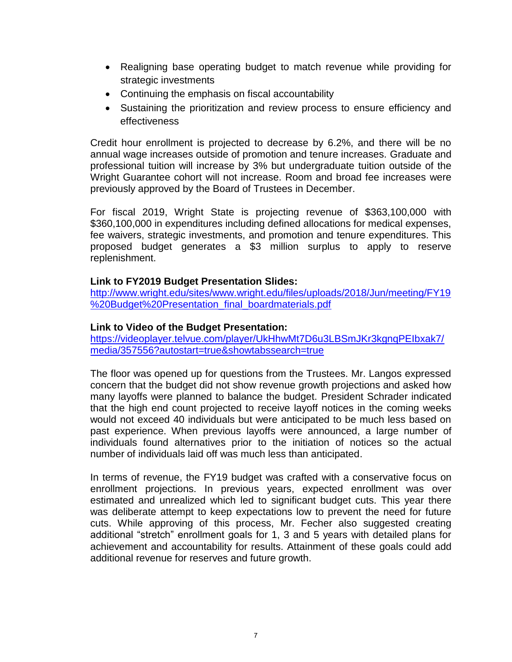- Realigning base operating budget to match revenue while providing for strategic investments
- Continuing the emphasis on fiscal accountability
- Sustaining the prioritization and review process to ensure efficiency and effectiveness

Credit hour enrollment is projected to decrease by 6.2%, and there will be no annual wage increases outside of promotion and tenure increases. Graduate and professional tuition will increase by 3% but undergraduate tuition outside of the Wright Guarantee cohort will not increase. Room and broad fee increases were previously approved by the Board of Trustees in December.

 proposed budget generates a \$3 million surplus to apply to reserve For fiscal 2019, Wright State is projecting revenue of \$363,100,000 with \$360,100,000 in expenditures including defined allocations for medical expenses, fee waivers, strategic investments, and promotion and tenure expenditures. This replenishment.

# **Link to FY2019 Budget Presentation Slides:**

[http://www.wright.edu/sites/www.wright.edu/files/uploads/2018/Jun/meeting/FY19](http://www.wright.edu/sites/www.wright.edu/files/uploads/2018/Jun/meeting/FY19%20Budget%20Presentation_final_boardmaterials.pdf)  %20Budget%20Presentation\_final\_boardmaterials.pdf

## **Link to Video of the Budget Presentation:**

[https://videoplayer.telvue.com/player/UkHhwMt7D6u3LBSmJKr3kgnqPEIbxak7/](https://videoplayer.telvue.com/player/UkHhwMt7D6u3LBSmJKr3kgnqPEIbxak7/media/357556?autostart=true&showtabssearch=true)  [media/357556?autostart=true&showtabssearch=true](https://videoplayer.telvue.com/player/UkHhwMt7D6u3LBSmJKr3kgnqPEIbxak7/media/357556?autostart=true&showtabssearch=true) 

 The floor was opened up for questions from the Trustees. Mr. Langos expressed concern that the budget did not show revenue growth projections and asked how many layoffs were planned to balance the budget. President Schrader indicated that the high end count projected to receive layoff notices in the coming weeks would not exceed 40 individuals but were anticipated to be much less based on past experience. When previous layoffs were announced, a large number of individuals found alternatives prior to the initiation of notices so the actual number of individuals laid off was much less than anticipated.

 In terms of revenue, the FY19 budget was crafted with a conservative focus on estimated and unrealized which led to significant budget cuts. This year there was deliberate attempt to keep expectations low to prevent the need for future cuts. While approving of this process, Mr. Fecher also suggested creating additional "stretch" enrollment goals for 1, 3 and 5 years with detailed plans for achievement and accountability for results. Attainment of these goals could add enrollment projections. In previous years, expected enrollment was over additional revenue for reserves and future growth.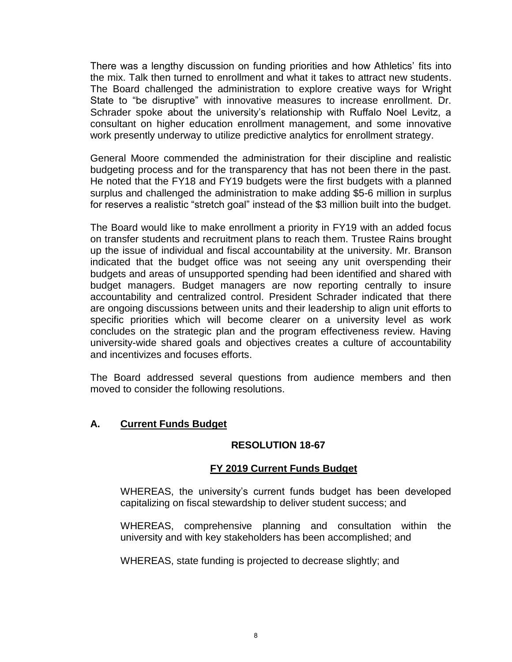There was a lengthy discussion on funding priorities and how Athletics' fits into the mix. Talk then turned to enrollment and what it takes to attract new students. The Board challenged the administration to explore creative ways for Wright State to "be disruptive" with innovative measures to increase enrollment. Dr. Schrader spoke about the university's relationship with Ruffalo Noel Levitz, a consultant on higher education enrollment management, and some innovative work presently underway to utilize predictive analytics for enrollment strategy.

work presently underway to utilize predictive analytics for enrollment strategy.<br>General Moore commended the administration for their discipline and realistic budgeting process and for the transparency that has not been there in the past. He noted that the FY18 and FY19 budgets were the first budgets with a planned surplus and challenged the administration to make adding \$5-6 million in surplus for reserves a realistic "stretch goal" instead of the \$3 million built into the budget.

 The Board would like to make enrollment a priority in FY19 with an added focus on transfer students and recruitment plans to reach them. Trustee Rains brought up the issue of individual and fiscal accountability at the university. Mr. Branson indicated that the budget office was not seeing any unit overspending their budgets and areas of unsupported spending had been identified and shared with budget managers. Budget managers are now reporting centrally to insure accountability and centralized control. President Schrader indicated that there are ongoing discussions between units and their leadership to align unit efforts to specific priorities which will become clearer on a university level as work concludes on the strategic plan and the program effectiveness review. Having university-wide shared goals and objectives creates a culture of accountability and incentivizes and focuses efforts.

The Board addressed several questions from audience members and then moved to consider the following resolutions.

## **A. Current Funds Budget**

#### **RESOLUTION 18-67**

## **FY 2019 Current Funds Budget**

WHEREAS, the university's current funds budget has been developed capitalizing on fiscal stewardship to deliver student success; and

WHEREAS, comprehensive planning and consultation within the university and with key stakeholders has been accomplished; and

WHEREAS, state funding is projected to decrease slightly; and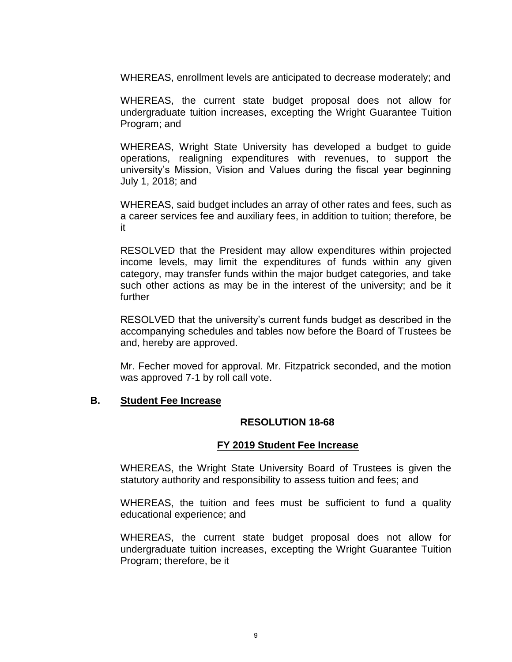WHEREAS, enrollment levels are anticipated to decrease moderately; and

 undergraduate tuition increases, excepting the Wright Guarantee Tuition WHEREAS, the current state budget proposal does not allow for Program; and

 WHEREAS, Wright State University has developed a budget to guide operations, realigning expenditures with revenues, to support the university's Mission, Vision and Values during the fiscal year beginning July 1, 2018; and

 WHEREAS, said budget includes an array of other rates and fees, such as a career services fee and auxiliary fees, in addition to tuition; therefore, be it

 RESOLVED that the President may allow expenditures within projected income levels, may limit the expenditures of funds within any given category, may transfer funds within the major budget categories, and take such other actions as may be in the interest of the university; and be it further

 RESOLVED that the university's current funds budget as described in the accompanying schedules and tables now before the Board of Trustees be and, hereby are approved.

 Mr. Fecher moved for approval. Mr. Fitzpatrick seconded, and the motion was approved 7-1 by roll call vote.

#### **B. Student Fee Increase**

## **RESOLUTION 18-68**

#### **FY 2019 Student Fee Increase**

 WHEREAS, the Wright State University Board of Trustees is given the statutory authority and responsibility to assess tuition and fees; and

 WHEREAS, the tuition and fees must be sufficient to fund a quality educational experience; and

 undergraduate tuition increases, excepting the Wright Guarantee Tuition WHEREAS, the current state budget proposal does not allow for Program; therefore, be it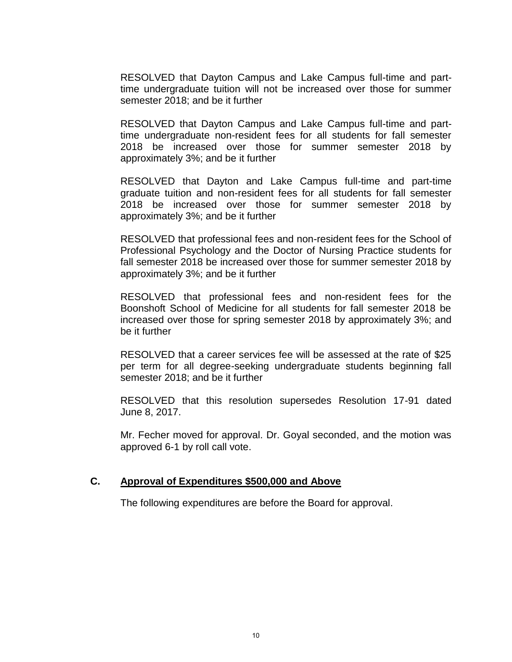RESOLVED that Dayton Campus and Lake Campus full-time and part- time undergraduate tuition will not be increased over those for summer semester 2018; and be it further

 RESOLVED that Dayton Campus and Lake Campus full-time and part- 2018 be increased over those for summer semester 2018 by time undergraduate non-resident fees for all students for fall semester approximately 3%; and be it further

 RESOLVED that Dayton and Lake Campus full-time and part-time graduate tuition and non-resident fees for all students for fall semester 2018 be increased over those for summer semester 2018 by approximately 3%; and be it further

 RESOLVED that professional fees and non-resident fees for the School of Professional Psychology and the Doctor of Nursing Practice students for fall semester 2018 be increased over those for summer semester 2018 by approximately 3%; and be it further

 Boonshoft School of Medicine for all students for fall semester 2018 be increased over those for spring semester 2018 by approximately 3%; and RESOLVED that professional fees and non-resident fees for the be it further

RESOLVED that a career services fee will be assessed at the rate of \$25 per term for all degree-seeking undergraduate students beginning fall semester 2018; and be it further

RESOLVED that this resolution supersedes Resolution 17-91 dated June 8, 2017.

Mr. Fecher moved for approval. Dr. Goyal seconded, and the motion was approved 6-1 by roll call vote.

## **C. Approval of Expenditures \$500,000 and Above**

The following expenditures are before the Board for approval.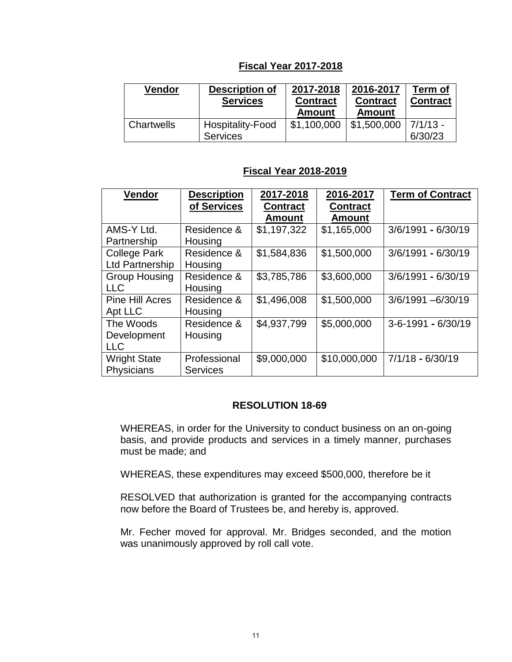# **Fiscal Year 2017-2018**

| Vendor     | <b>Description of</b><br><b>Services</b> | 2017-2018<br><b>Contract</b><br>Amount | 2016-2017<br><b>Contract</b><br><b>Amount</b> | Term of<br><b>Contract</b> |
|------------|------------------------------------------|----------------------------------------|-----------------------------------------------|----------------------------|
| Chartwells | Hospitality-Food<br><b>Services</b>      | \$1,100,000                            | \$1,500,000                                   | $7/1/13 -$<br>6/30/23      |

## **Fiscal Year 2018-2019**

| <b>Vendor</b>          | <b>Description</b><br>of Services | 2017-2018<br><b>Contract</b> | 2016-2017<br><b>Contract</b> | <b>Term of Contract</b> |
|------------------------|-----------------------------------|------------------------------|------------------------------|-------------------------|
|                        |                                   | <b>Amount</b>                | <b>Amount</b>                |                         |
| AMS-Y Ltd.             | Residence &                       | \$1,197,322                  | \$1,165,000                  | 3/6/1991 - 6/30/19      |
| Partnership            | Housing                           |                              |                              |                         |
| <b>College Park</b>    | Residence &                       | \$1,584,836                  | \$1,500,000                  | 3/6/1991 - 6/30/19      |
| <b>Ltd Partnership</b> | Housing                           |                              |                              |                         |
| <b>Group Housing</b>   | Residence &                       | \$3,785,786                  | \$3,600,000                  | 3/6/1991 - 6/30/19      |
| <b>LLC</b>             | Housing                           |                              |                              |                         |
| <b>Pine Hill Acres</b> | Residence &                       | \$1,496,008                  | \$1,500,000                  | 3/6/1991-6/30/19        |
| Apt LLC                | Housing                           |                              |                              |                         |
| The Woods              | Residence &                       | \$4,937,799                  | \$5,000,000                  | 3-6-1991 - 6/30/19      |
| Development            | Housing                           |                              |                              |                         |
| <b>LLC</b>             |                                   |                              |                              |                         |
| <b>Wright State</b>    | Professional                      | \$9,000,000                  | \$10,000,000                 | $7/1/18 - 6/30/19$      |
| Physicians             | <b>Services</b>                   |                              |                              |                         |

## **RESOLUTION 18-69**

 WHEREAS, in order for the University to conduct business on an on-going basis, and provide products and services in a timely manner, purchases must be made; and

WHEREAS, these expenditures may exceed \$500,000, therefore be it

 RESOLVED that authorization is granted for the accompanying contracts now before the Board of Trustees be, and hereby is, approved.

 Mr. Fecher moved for approval. Mr. Bridges seconded, and the motion was unanimously approved by roll call vote.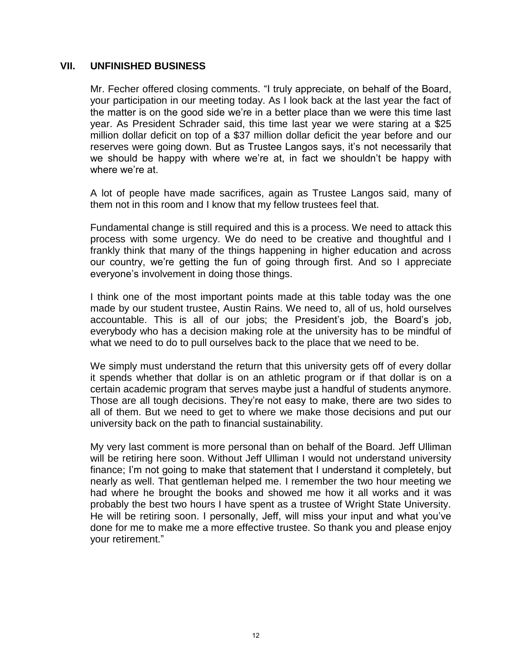#### **VII. UNFINISHED BUSINESS**

 Mr. Fecher offered closing comments. "I truly appreciate, on behalf of the Board, your participation in our meeting today. As I look back at the last year the fact of the matter is on the good side we're in a better place than we were this time last year. As President Schrader said, this time last year we were staring at a \$25 million dollar deficit on top of a \$37 million dollar deficit the year before and our reserves were going down. But as Trustee Langos says, it's not necessarily that we should be happy with where we're at, in fact we shouldn't be happy with where we're at.

 A lot of people have made sacrifices, again as Trustee Langos said, many of them not in this room and I know that my fellow trustees feel that.

 Fundamental change is still required and this is a process. We need to attack this process with some urgency. We do need to be creative and thoughtful and I frankly think that many of the things happening in higher education and across our country, we're getting the fun of going through first. And so I appreciate everyone's involvement in doing those things.

 I think one of the most important points made at this table today was the one made by our student trustee, Austin Rains. We need to, all of us, hold ourselves accountable. This is all of our jobs; the President's job, the Board's job, everybody who has a decision making role at the university has to be mindful of what we need to do to pull ourselves back to the place that we need to be.

 We simply must understand the return that this university gets off of every dollar it spends whether that dollar is on an athletic program or if that dollar is on a certain academic program that serves maybe just a handful of students anymore. Those are all tough decisions. They're not easy to make, there are two sides to all of them. But we need to get to where we make those decisions and put our university back on the path to financial sustainability.

 My very last comment is more personal than on behalf of the Board. Jeff Ulliman will be retiring here soon. Without Jeff Ulliman I would not understand university finance; I'm not going to make that statement that I understand it completely, but nearly as well. That gentleman helped me. I remember the two hour meeting we had where he brought the books and showed me how it all works and it was probably the best two hours I have spent as a trustee of Wright State University. He will be retiring soon. I personally, Jeff, will miss your input and what you've done for me to make me a more effective trustee. So thank you and please enjoy your retirement."